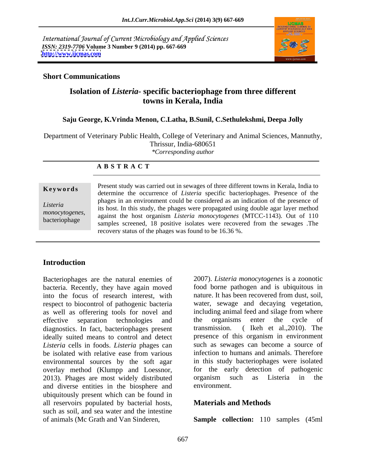International Journal of Current Microbiology and Applied Sciences *ISSN: 2319-7706* **Volume 3 Number 9 (2014) pp. 667-669 <http://www.ijcmas.com>**



## **Short Communications**

# **Isolation of** *Listeria-* **specific bacteriophage from three different towns in Kerala, India**

## **Saju George, K.Vrinda Menon, C.Latha, B.Sunil, C.Sethulekshmi, Deepa Jolly**

Department of Veterinary Public Health, College of Veterinary and Animal Sciences, Mannuthy, Thrissur, India-680651 *\*Corresponding author* 

### **A B S T R A C T**

**Keywords** Fresent study was carried out in sewages of the direction towns in Keraia, mula to determine the occurrence of *Listeria* specific bacteriophages. Presence of the *Listeria*  its host. In this study, the phages were propagated using double agar layer method monocytogenes, against the host organism *Listeria monocytogenes* (MTCC-1143). Out of 110 bacteriophage against the nost organism *Elsteria monocylogenes* (MTCC-1145). Out of 110<br>samples screened, 18 positive isolates were recovered from the sewages .The Present study was carried out in sewages of three different towns in Kerala, India to phages in an environment could be considered as an indication of the presence of recovery status of the phages was found to be 16.36 %.

# **Introduction**

Bacteriophages are the natural enemies of bacteria. Recently, they have again moved into the focus of research interest, with respect to biocontrol of pathogenic bacteria as well as offerering tools for novel and effective separation technologies and the organisms enter the cycle of diagnostics. In fact, bacteriophages present transmission. ideally suited means to control and detect *Listeria* cells in foods. *Listeria* phages can be isolated with relative ease from various infection to humans and animals. Therefore environmental sources by the soft agar overlay method (Klumpp and Loessnor, 2013). Phages are most widely distributed organism such as Listeria in the and diverse entities in the biosphere and environment. and diverse entities in the biosphere and ubiquitously present which can be found in all reservoirs populated by bacterial hosts, such as soil, and sea water and the intestine

2007). *Listeria monocytogenes* is a zoonotic food borne pathogen and is ubiquitous in nature. It has been recovered from dust, soil, water, sewage and decaying vegetation, including animal feed and silage from where the organisms enter the cycle of ( Ikeh et al.,  $2010$ ). The presence of this organism in environment such as sewages can become a source of infection to humans and animals. Therefore in this study bacteriophages were isolated for the early detection of pathogenic organism such as Listeria in the environment.

# **Materials and Methods**

of animals (Mc Grath and Van Sinderen, **Sample collection:** 110 samples (45ml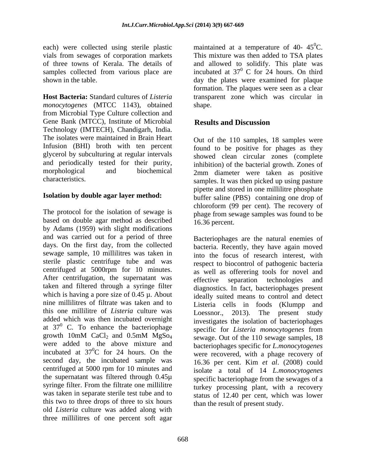each) were collected using sterile plastic vials from sewages of corporation markets This mixture was then added to TSA plates of three towns of Kerala. The details of and allowed to solidify. This plate was samples collected from various place are incubated at  $37^{\circ}$  C for 24 hours. On third

**Host Bacteria:** Standard cultures of *Listeria*  transparent zone which was circular in *monocytogenes* (MTCC 1143), obtained from Microbial Type Culture collection and Gene Bank (MTCC), Institute of Microbial Results and Discussion Technology (IMTECH), Chandigarh, India. The isolates were maintained in Brain Heart Infusion (BHI) broth with ten percent found to be positive for phages as they glycerol by subculturing at regular intervals and periodically tested for their purity, inhibition) of the bacterial growth. Zones of morphological and biochemical 2mm diameter were taken as positive

The protocol for the isolation of sewage is based on double agar method as described by Adams (1959) with slight modifications and was carried out for a period of three days. On the first day, from the collected sewage sample, 10 millilitres was taken in sterile plastic centrifuge tube and was centrifuged at 5000rpm for 10 minutes. After centrifugation, the supernatant was effective separation technologies and nine millilitres of filtrate was taken and to this one millilitre of *Listeria* culture was added which was then incubated overnight were added to the above mixture and incubated at  $37^0C$  for 24 hours. On the second day, the incubated sample was centrifuged at 5000 rpm for 10 minutes and the supernatant was filtered through 0.45µ syringe filter. From the filtrate one millilitre was taken in separate sterile test tube and to this two to three drops of three to six hours old *Listeria* culture was added along with three millilitres of one percent soft agar

shown in the table. day the plates were examined for plaque maintained at a temperature of 40-  $45^{\circ}$ C.  ${}^{0}C.$  $0$  C for 24 hours. On third formation. The plaques were seen as a clear shape.

# **Results and Discussion**

characteristics. samples. It was then picked up using pasture **Isolation by double agar layer method:** buffer saline (PBS) containing one drop of Out of the 110 samples, 18 samples were showed clean circular zones (complete pipette and stored in one millilitre phosphate chloroform (99 per cent). The recovery of phage from sewage samples was found to be 16.36 percent.

taken and filtered through a syringe filter diagnostics. In fact, bacteriophages present which is having a pore size of  $0.45 \mu$ . About ideally suited means to control and detect at  $37^0$  C. To enhance the bacteriophage serves are isolation of electric phages at  $37^0$  C. growth 10mM CaCl<sub>2</sub> and 0.5mM MgSo<sub>4</sub> sewage. Out of the 110 sewage samples, 18  ${}^{0}C$  for 24 hours. On the were recovered, with a phage recovery of Bacteriophages are the natural enemies of bacteria. Recently, they have again moved into the focus of research interest, with respect to biocontrol of pathogenic bacteria as well as offerering tools for novel and effective separation technologies and Listeria cells in foods (Klumpp and Loessnor., 2013). The present study investigates the isolation of bacteriophages specific for *Listeria monocytogenes* from sewage. Out of the 110 sewage samples, 18 bacteriophages specific for *L.monocytogenes* 16.36 per cent. Kim *et al*. (2008) could isolate a total of 14 *L.monocytogenes* specific bacteriophage from the sewages of a turkey processing plant, with a recovery status of 12.40 per cent, which was lower than the result of present study.